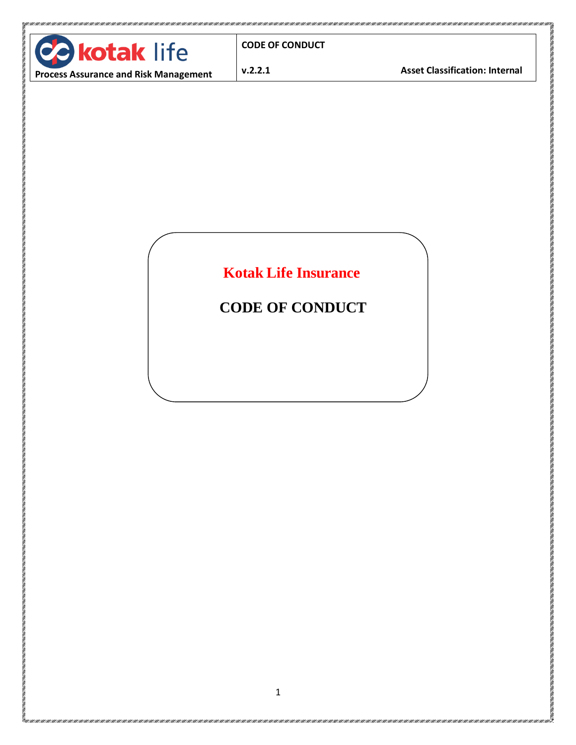

**CODE OF CONDUCT** 

**v.2.2.1 Asset Classification: Internal**

**THE REAL PROPERTY AND INCOME.** 

.<br>Halla hallalla halla hallalla katalia hallalla halla hallalla hallalla hallalla hallalla halla halla hallalla hallalla ha

**Process Assurance and Risk Management**

**Kotak Life Insurance**

**CODE OF CONDUCT**

is a compart of the compart of the second state of the second of the second of the second state of the second second second second second second second second second second second second second second second second second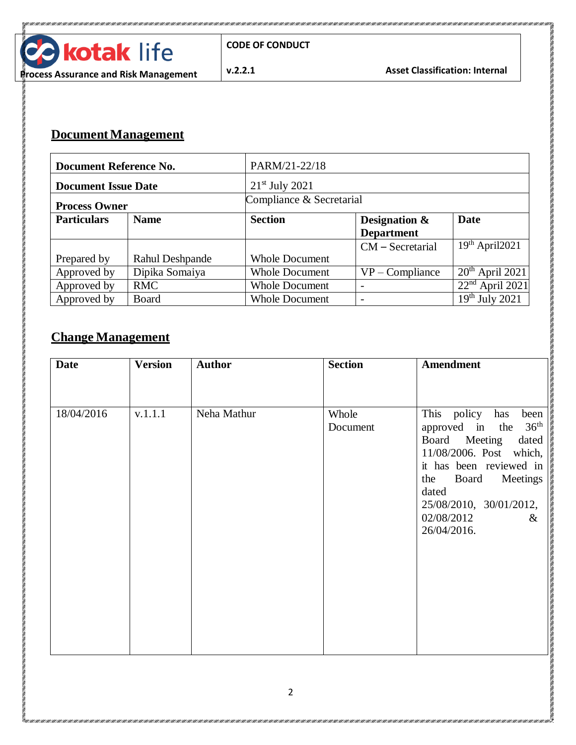

**CONTRACTOR** 

## **Document Management**

| Document Reference No.     |                 | PARM/21-22/18            |                    |                   |  |
|----------------------------|-----------------|--------------------------|--------------------|-------------------|--|
| <b>Document Issue Date</b> |                 | $21st$ July 2021         |                    |                   |  |
| <b>Process Owner</b>       |                 | Compliance & Secretarial |                    |                   |  |
| <b>Particulars</b>         | <b>Name</b>     | <b>Section</b>           | Designation &      | <b>Date</b>       |  |
|                            |                 |                          | <b>Department</b>  |                   |  |
|                            |                 |                          | $CM$ – Secretarial | $19th$ April2021  |  |
| Prepared by                | Rahul Deshpande | <b>Whole Document</b>    |                    |                   |  |
| Approved by                | Dipika Somaiya  | <b>Whole Document</b>    | $VP$ – Compliance  | $20th$ April 2021 |  |
| Approved by                | <b>RMC</b>      | <b>Whole Document</b>    |                    | $22nd$ April 2021 |  |
| Approved by                | Board           | <b>Whole Document</b>    |                    | $19th$ July 2021  |  |

#### **Change Management**

| <b>Date</b> | <b>Version</b> | <b>Author</b> | <b>Section</b>    | <b>Amendment</b>                                                                                                                                                                                                                                    |
|-------------|----------------|---------------|-------------------|-----------------------------------------------------------------------------------------------------------------------------------------------------------------------------------------------------------------------------------------------------|
| 18/04/2016  | v.1.1.1        | Neha Mathur   | Whole<br>Document | This policy<br>has<br>been<br>approved in the 36 <sup>th</sup><br>Board Meeting<br>dated<br>11/08/2006. Post which,<br>it has been reviewed in<br>the<br>Board<br>Meetings<br>dated<br>25/08/2010, 30/01/2012,<br>02/08/2012<br>$\&$<br>26/04/2016. |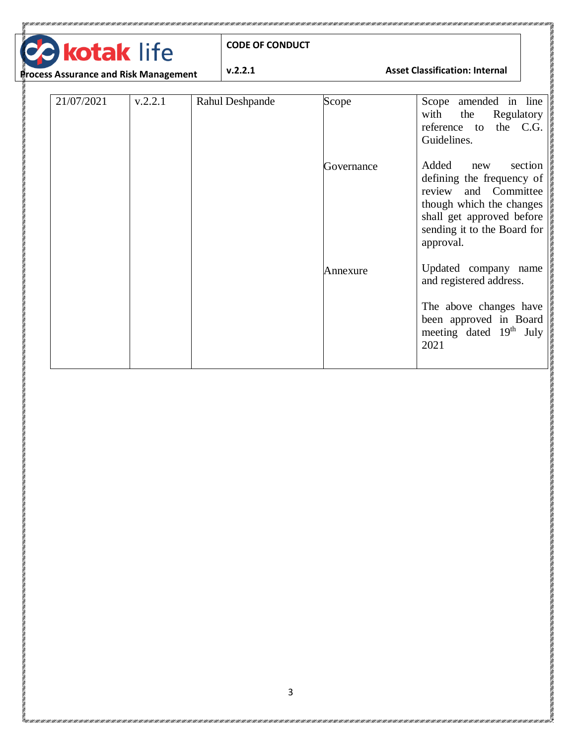| ł. | <b>Pa kotak life</b> |
|----|----------------------|
|    | .                    |

TANAN KERAMAN KERAMAN KERAMAN KERAMAN KERAMAN KERAMAN KERAMAN KERAMAN KERAMAN KERAMAN KERAMAN KERAMAN KERAMAN KERAMAN KERAMAN KERAMAN KERAMAN KERAMAN KERAMAN KERAMAN KERAMAN KERAMAN KERAMAN KERAMAN KERAMAN KERAMAN KERAMAN

#### **v.2.2.1 Asset Classification: Internal**

**CONTRACTOR** 

**Process Assurance and Risk Management**

| 21/07/2021 | v.2.2.1 | Rahul Deshpande | Scope      | Scope amended in line<br>with<br>the<br>Regulatory<br>the C.G.<br>reference to<br>Guidelines.                                                                                     |
|------------|---------|-----------------|------------|-----------------------------------------------------------------------------------------------------------------------------------------------------------------------------------|
|            |         |                 | Governance | Added<br>section<br>new<br>defining the frequency of<br>review and Committee<br>though which the changes<br>shall get approved before<br>sending it to the Board for<br>approval. |
|            |         |                 | Annexure   | Updated company name<br>and registered address.<br>The above changes have<br>been approved in Board<br>meeting dated 19 <sup>th</sup> July<br>2021                                |

E KANAN KANAN KANAN KANAN KANAN KANAN KANAN KANAN KANAN KANAN KANAN KANAN KANAN KANAN KANAN KANAN KANAN KANAN KANAN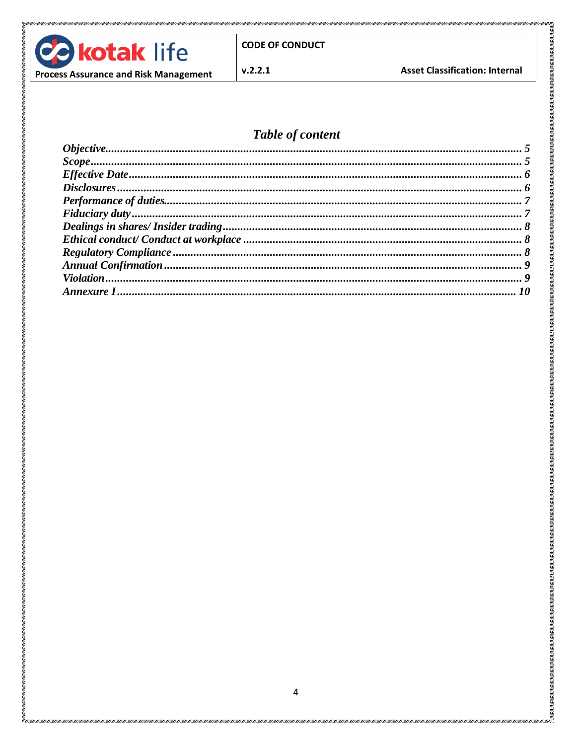

 $v.2.2.1$ 

**Asset Classification: Internal** 

#### **Process Assurance and Risk Management**

#### Table of content

| $Scope  \dots 5 $ |  |
|-------------------|--|
|                   |  |
|                   |  |
|                   |  |
|                   |  |
|                   |  |
|                   |  |
|                   |  |
|                   |  |
|                   |  |
|                   |  |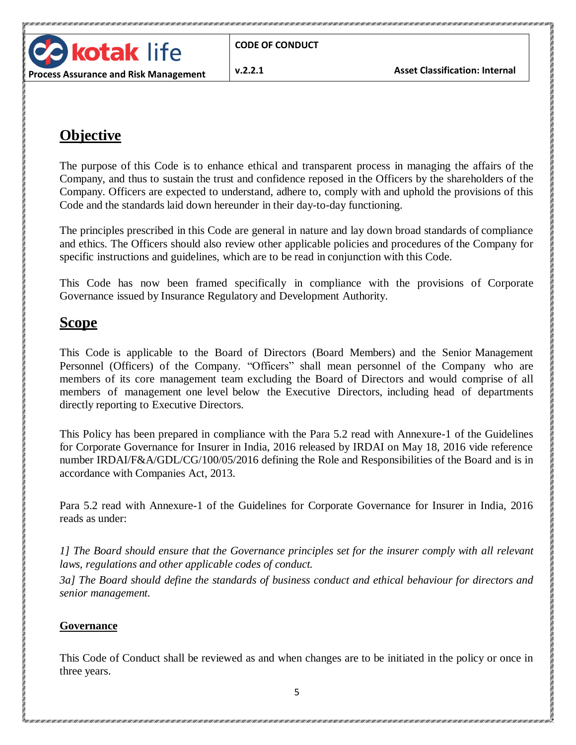

# <span id="page-4-0"></span>**Objective**

The purpose of this Code is to enhance ethical and transparent process in managing the affairs of the Company, and thus to sustain the trust and confidence reposed in the Officers by the shareholders of the Company. Officers are expected to understand, adhere to, comply with and uphold the provisions of this Code and the standards laid down hereunder in their day-to-day functioning.

The principles prescribed in this Code are general in nature and lay down broad standards of compliance and ethics. The Officers should also review other applicable policies and procedures of the Company for specific instructions and guidelines, which are to be read in conjunction with this Code.

This Code has now been framed specifically in compliance with the provisions of Corporate Governance issued by Insurance Regulatory and Development Authority.

# <span id="page-4-1"></span>**Scope**

This Code is applicable to the Board of Directors (Board Members) and the Senior Management Personnel (Officers) of the Company. "Officers" shall mean personnel of the Company who are members of its core management team excluding the Board of Directors and would comprise of all members of management one level below the Executive Directors, including head of departments directly reporting to Executive Directors.

This Policy has been prepared in compliance with the Para 5.2 read with Annexure-1 of the Guidelines for Corporate Governance for Insurer in India, 2016 released by IRDAI on May 18, 2016 vide reference number IRDAI/F&A/GDL/CG/100/05/2016 defining the Role and Responsibilities of the Board and is in accordance with Companies Act, 2013.

Para 5.2 read with Annexure-1 of the Guidelines for Corporate Governance for Insurer in India, 2016 reads as under:

*1] The Board should ensure that the Governance principles set for the insurer comply with all relevant laws, regulations and other applicable codes of conduct.*

*3a] The Board should define the standards of business conduct and ethical behaviour for directors and senior management.*

#### **Governance**

This Code of Conduct shall be reviewed as and when changes are to be initiated in the policy or once in three years.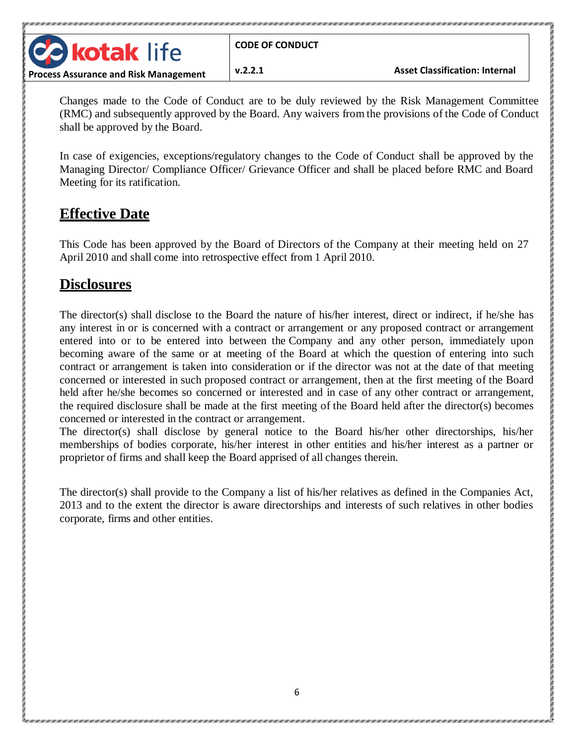**Contract of the Second Second Second Second Second Second Second Second Second Second Second Second Second Second** 

<u> 1911 - 1911 - 1911 - 1911 - 1911 - 1911 - 1911 - 1911 - 1911 - 1911 - 1911 - 1911 - 1911 - 1911 - 1911 - 1911 - 1911 - 1911 - 1911 - 1911 - 1911 - 1911 - 1911 - 1911 - 1911 - 1911 - 191</u>

Changes made to the Code of Conduct are to be duly reviewed by the Risk Management Committee (RMC) and subsequently approved by the Board. Any waivers from the provisions of the Code of Conduct shall be approved by the Board.

In case of exigencies, exceptions/regulatory changes to the Code of Conduct shall be approved by the Managing Director/ Compliance Officer/ Grievance Officer and shall be placed before RMC and Board Meeting for its ratification.

# <span id="page-5-0"></span>**Effective Date**

**kotak life** 

This Code has been approved by the Board of Directors of the Company at their meeting held on 27 April 2010 and shall come into retrospective effect from 1 April 2010.

### <span id="page-5-1"></span>**Disclosures**

The director(s) shall disclose to the Board the nature of his/her interest, direct or indirect, if he/she has any interest in or is concerned with a contract or arrangement or any proposed contract or arrangement entered into or to be entered into between the Company and any other person, immediately upon becoming aware of the same or at meeting of the Board at which the question of entering into such contract or arrangement is taken into consideration or if the director was not at the date of that meeting concerned or interested in such proposed contract or arrangement, then at the first meeting of the Board held after he/she becomes so concerned or interested and in case of any other contract or arrangement, the required disclosure shall be made at the first meeting of the Board held after the director(s) becomes concerned or interested in the contract or arrangement.

The director(s) shall disclose by general notice to the Board his/her other directorships, his/her memberships of bodies corporate, his/her interest in other entities and his/her interest as a partner or proprietor of firms and shall keep the Board apprised of all changes therein.

The director(s) shall provide to the Company a list of his/her relatives as defined in the Companies Act, 2013 and to the extent the director is aware directorships and interests of such relatives in other bodies corporate, firms and other entities.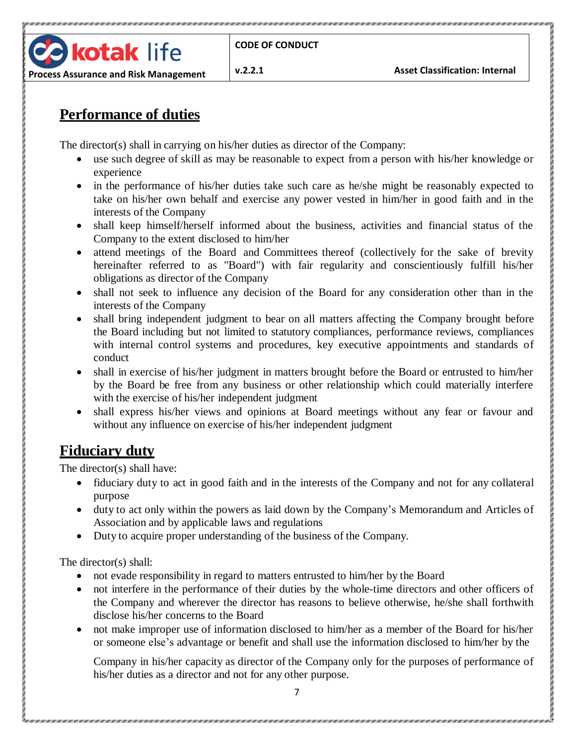**v.2.2.1 Asset Classification: Internal**

**DESCRIPTION OF PROPERTY AND ACTIVITY OF PROPERTY AND ACTIVITY OF PROPERTY AND ACTIVITY OF PROPERTY** 

#### **Process Assurance and Risk Management**

**kotak** life

## <span id="page-6-0"></span>**Performance of duties**

The director(s) shall in carrying on his/her duties as director of the Company:

- use such degree of skill as may be reasonable to expect from a person with his/her knowledge or experience
- in the performance of his/her duties take such care as he/she might be reasonably expected to take on his/her own behalf and exercise any power vested in him/her in good faith and in the interests of the Company
- shall keep himself/herself informed about the business, activities and financial status of the Company to the extent disclosed to him/her
- attend meetings of the Board and Committees thereof (collectively for the sake of brevity hereinafter referred to as "Board") with fair regularity and conscientiously fulfill his/her obligations as director of the Company
- shall not seek to influence any decision of the Board for any consideration other than in the interests of the Company
- shall bring independent judgment to bear on all matters affecting the Company brought before the Board including but not limited to statutory compliances, performance reviews, compliances with internal control systems and procedures, key executive appointments and standards of conduct
- shall in exercise of his/her judgment in matters brought before the Board or entrusted to him/her by the Board be free from any business or other relationship which could materially interfere with the exercise of his/her independent judgment
- shall express his/her views and opinions at Board meetings without any fear or favour and without any influence on exercise of his/her independent judgment

### <span id="page-6-1"></span>**Fiduciary duty**

The director(s) shall have:

- fiduciary duty to act in good faith and in the interests of the Company and not for any collateral purpose
- duty to act only within the powers as laid down by the Company's Memorandum and Articles of Association and by applicable laws and regulations
- Duty to acquire proper understanding of the business of the Company.

The director(s) shall:

- not evade responsibility in regard to matters entrusted to him/her by the Board
- not interfere in the performance of their duties by the whole-time directors and other officers of the Company and wherever the director has reasons to believe otherwise, he/she shall forthwith disclose his/her concerns to the Board
- not make improper use of information disclosed to him/her as a member of the Board for his/her or someone else's advantage or benefit and shall use the information disclosed to him/her by the

Company in his/her capacity as director of the Company only for the purposes of performance of his/her duties as a director and not for any other purpose.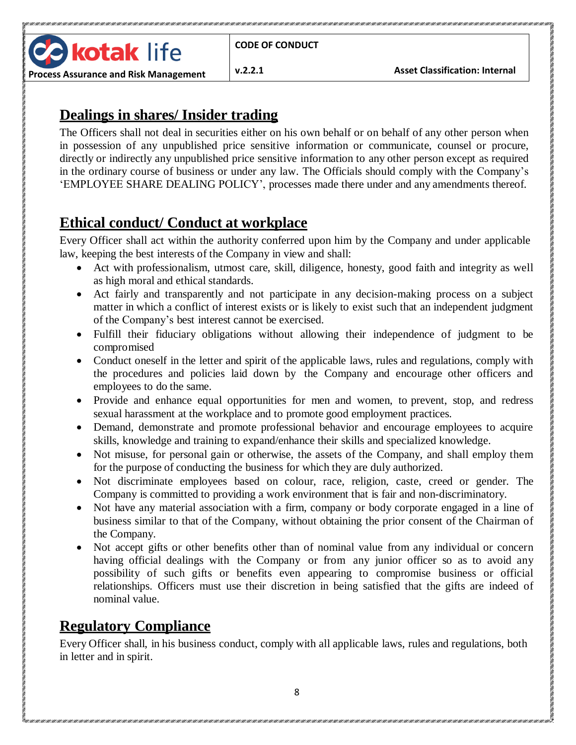**B** kotak life **Process Assurance and Risk Management**

**v.2.2.1 Asset Classification: Internal**

<u> 1921 - 1931 - 1931 - 1931 - 1931 - 1931 - 1931 - 1931 - 1931 - 1931 - 1931 - 1931 - 1931 - 1931 - 1931 - 1931 - 1931 - 1931 - 1931 - 1931 - 1931 - 1931 - 1932 - 1933 - 1933 - 1933 - 1934 - 1935 - 1935 - 1936 - 1937 - 193</u>

### <span id="page-7-0"></span>**Dealings in shares/ Insider trading**

The Officers shall not deal in securities either on his own behalf or on behalf of any other person when in possession of any unpublished price sensitive information or communicate, counsel or procure, directly or indirectly any unpublished price sensitive information to any other person except as required in the ordinary course of business or under any law. The Officials should comply with the Company's 'EMPLOYEE SHARE DEALING POLICY', processes made there under and any amendments thereof.

### <span id="page-7-1"></span>**Ethical conduct/ Conduct at workplace**

Every Officer shall act within the authority conferred upon him by the Company and under applicable law, keeping the best interests of the Company in view and shall:

- Act with professionalism, utmost care, skill, diligence, honesty, good faith and integrity as well as high moral and ethical standards.
- Act fairly and transparently and not participate in any decision-making process on a subject matter in which a conflict of interest exists or is likely to exist such that an independent judgment of the Company's best interest cannot be exercised.
- Fulfill their fiduciary obligations without allowing their independence of judgment to be compromised
- Conduct oneself in the letter and spirit of the applicable laws, rules and regulations, comply with the procedures and policies laid down by the Company and encourage other officers and employees to do the same.
- Provide and enhance equal opportunities for men and women, to prevent, stop, and redress sexual harassment at the workplace and to promote good employment practices.
- Demand, demonstrate and promote professional behavior and encourage employees to acquire skills, knowledge and training to expand/enhance their skills and specialized knowledge.
- Not misuse, for personal gain or otherwise, the assets of the Company, and shall employ them for the purpose of conducting the business for which they are duly authorized.
- Not discriminate employees based on colour, race, religion, caste, creed or gender. The Company is committed to providing a work environment that is fair and non-discriminatory.
- Not have any material association with a firm, company or body corporate engaged in a line of business similar to that of the Company, without obtaining the prior consent of the Chairman of the Company.
- Not accept gifts or other benefits other than of nominal value from any individual or concern having official dealings with the Company or from any junior officer so as to avoid any possibility of such gifts or benefits even appearing to compromise business or official relationships. Officers must use their discretion in being satisfied that the gifts are indeed of nominal value.

# <span id="page-7-2"></span>**Regulatory Compliance**

Every Officer shall, in his business conduct, comply with all applicable laws, rules and regulations, both in letter and in spirit.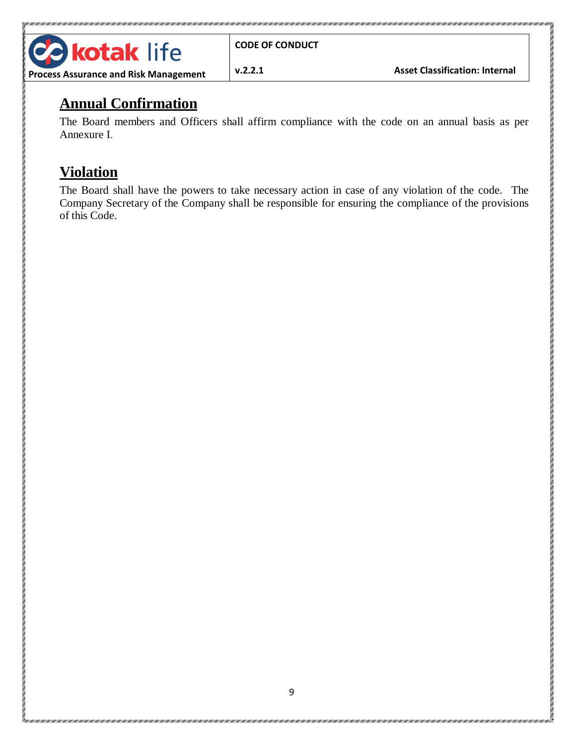

<u> 1911-1911 - 1911-1911 - 1911-1911 - 1911-1911 - 1911-1911 - 1911-1911 - 1911-1911 - 1911-1911 - 1911-1911 - 1911-1911 - 1911-1911 - 1911-1911 - 1911-1911 - 1911-1911 - 1911-1911 - 1911-1911 - 1911-1911 - 1911-1911 - 1911</u>

TENEN TENEN TENETA TENEN TENETA NEGERIA TENETA TENEN TENETA TENETA NEGERIA TENETA TENETA TENETEKO TENETA

### **Process Assurance and Risk Management**

<span id="page-8-0"></span>**Annual Confirmation**

The Board members and Officers shall affirm compliance with the code on an annual basis as per Annexure I.

# <span id="page-8-1"></span>**Violation**

The Board shall have the powers to take necessary action in case of any violation of the code. The Company Secretary of the Company shall be responsible for ensuring the compliance of the provisions of this Code.

<span id="page-8-2"></span>is a compart of the compart of the second state of the second state of the second state of the company of the second state of the second state of the second state of the second state of the second state of the second state